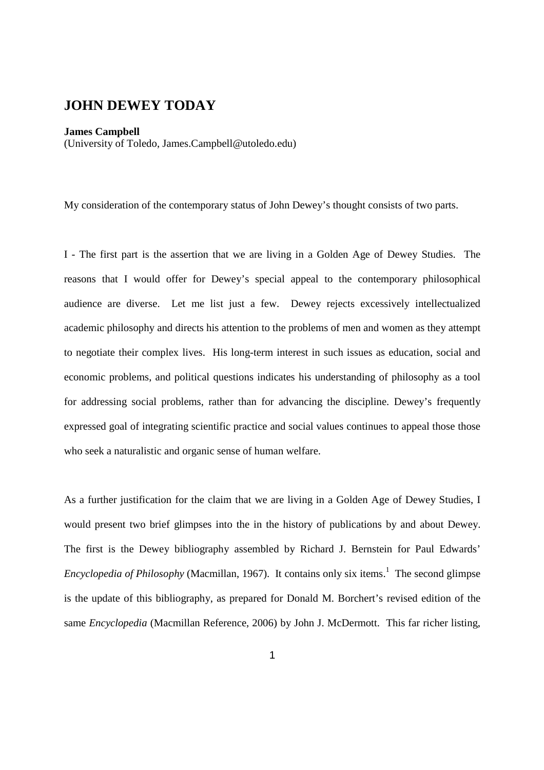## **JOHN DEWEY TODAY**

## **James Campbell**

(University of Toledo, James.Campbell@utoledo.edu)

My consideration of the contemporary status of John Dewey's thought consists of two parts.

I - The first part is the assertion that we are living in a Golden Age of Dewey Studies. The reasons that I would offer for Dewey's special appeal to the contemporary philosophical audience are diverse. Let me list just a few. Dewey rejects excessively intellectualized academic philosophy and directs his attention to the problems of men and women as they attempt to negotiate their complex lives. His long-term interest in such issues as education, social and economic problems, and political questions indicates his understanding of philosophy as a tool for addressing social problems, rather than for advancing the discipline. Dewey's frequently expressed goal of integrating scientific practice and social values continues to appeal those those who seek a naturalistic and organic sense of human welfare.

As a further justification for the claim that we are living in a Golden Age of Dewey Studies, I would present two brief glimpses into the in the history of publications by and about Dewey. The first is the Dewey bibliography assembled by Richard J. Bernstein for Paul Edwards' *Encyclopedia of Philosophy* (Macmillan, 1967). It contains only six items.<sup>1</sup> The second glimpse is the update of this bibliography, as prepared for Donald M. Borchert's revised edition of the same *Encyclopedia* (Macmillan Reference, 2006) by John J. McDermott. This far richer listing,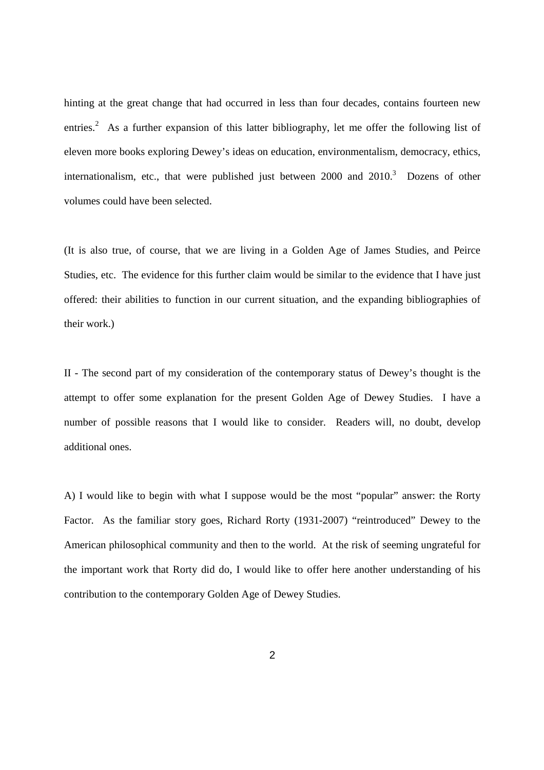hinting at the great change that had occurred in less than four decades, contains fourteen new entries.<sup>2</sup> As a further expansion of this latter bibliography, let me offer the following list of eleven more books exploring Dewey's ideas on education, environmentalism, democracy, ethics, internationalism, etc., that were published just between  $2000$  and  $2010$ .<sup>3</sup> Dozens of other volumes could have been selected.

(It is also true, of course, that we are living in a Golden Age of James Studies, and Peirce Studies, etc. The evidence for this further claim would be similar to the evidence that I have just offered: their abilities to function in our current situation, and the expanding bibliographies of their work.)

II - The second part of my consideration of the contemporary status of Dewey's thought is the attempt to offer some explanation for the present Golden Age of Dewey Studies. I have a number of possible reasons that I would like to consider. Readers will, no doubt, develop additional ones.

A) I would like to begin with what I suppose would be the most "popular" answer: the Rorty Factor. As the familiar story goes, Richard Rorty (1931-2007) "reintroduced" Dewey to the American philosophical community and then to the world. At the risk of seeming ungrateful for the important work that Rorty did do, I would like to offer here another understanding of his contribution to the contemporary Golden Age of Dewey Studies.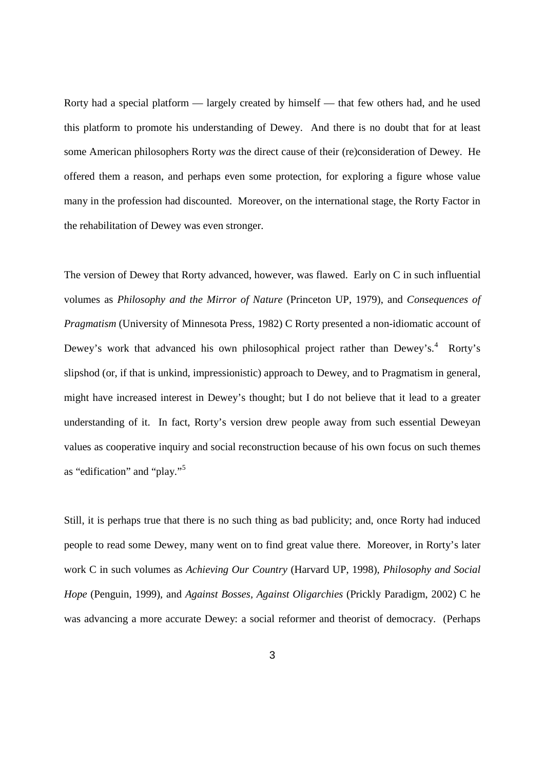Rorty had a special platform — largely created by himself — that few others had, and he used this platform to promote his understanding of Dewey. And there is no doubt that for at least some American philosophers Rorty *was* the direct cause of their (re)consideration of Dewey. He offered them a reason, and perhaps even some protection, for exploring a figure whose value many in the profession had discounted. Moreover, on the international stage, the Rorty Factor in the rehabilitation of Dewey was even stronger.

The version of Dewey that Rorty advanced, however, was flawed. Early on C in such influential volumes as *Philosophy and the Mirror of Nature* (Princeton UP, 1979), and *Consequences of Pragmatism* (University of Minnesota Press, 1982) C Rorty presented a non-idiomatic account of Dewey's work that advanced his own philosophical project rather than Dewey's.<sup>4</sup> Rorty's slipshod (or, if that is unkind, impressionistic) approach to Dewey, and to Pragmatism in general, might have increased interest in Dewey's thought; but I do not believe that it lead to a greater understanding of it. In fact, Rorty's version drew people away from such essential Deweyan values as cooperative inquiry and social reconstruction because of his own focus on such themes as "edification" and "play."<sup>5</sup>

Still, it is perhaps true that there is no such thing as bad publicity; and, once Rorty had induced people to read some Dewey, many went on to find great value there. Moreover, in Rorty's later work C in such volumes as *Achieving Our Country* (Harvard UP, 1998), *Philosophy and Social Hope* (Penguin, 1999), and *Against Bosses, Against Oligarchies* (Prickly Paradigm, 2002) C he was advancing a more accurate Dewey: a social reformer and theorist of democracy. (Perhaps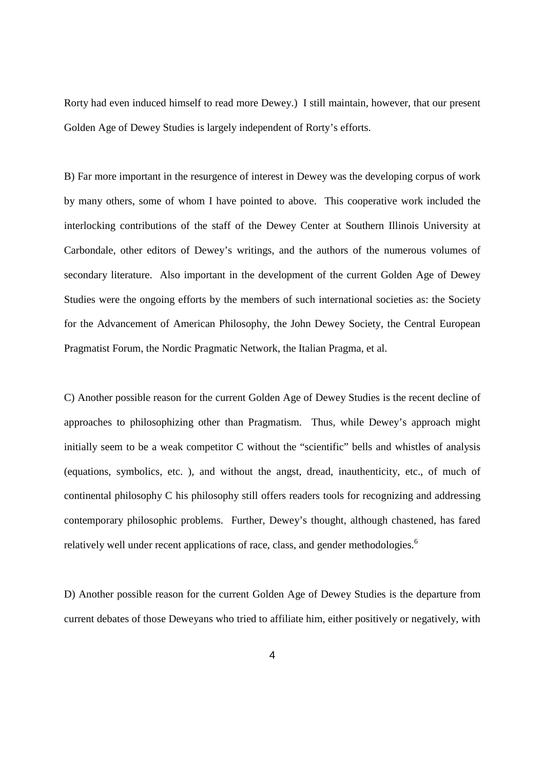Rorty had even induced himself to read more Dewey.) I still maintain, however, that our present Golden Age of Dewey Studies is largely independent of Rorty's efforts.

B) Far more important in the resurgence of interest in Dewey was the developing corpus of work by many others, some of whom I have pointed to above. This cooperative work included the interlocking contributions of the staff of the Dewey Center at Southern Illinois University at Carbondale, other editors of Dewey's writings, and the authors of the numerous volumes of secondary literature. Also important in the development of the current Golden Age of Dewey Studies were the ongoing efforts by the members of such international societies as: the Society for the Advancement of American Philosophy, the John Dewey Society, the Central European Pragmatist Forum, the Nordic Pragmatic Network, the Italian Pragma, et al.

C) Another possible reason for the current Golden Age of Dewey Studies is the recent decline of approaches to philosophizing other than Pragmatism. Thus, while Dewey's approach might initially seem to be a weak competitor C without the "scientific" bells and whistles of analysis (equations, symbolics, etc. ), and without the angst, dread, inauthenticity, etc., of much of continental philosophy C his philosophy still offers readers tools for recognizing and addressing contemporary philosophic problems. Further, Dewey's thought, although chastened, has fared relatively well under recent applications of race, class, and gender methodologies.<sup>6</sup>

D) Another possible reason for the current Golden Age of Dewey Studies is the departure from current debates of those Deweyans who tried to affiliate him, either positively or negatively, with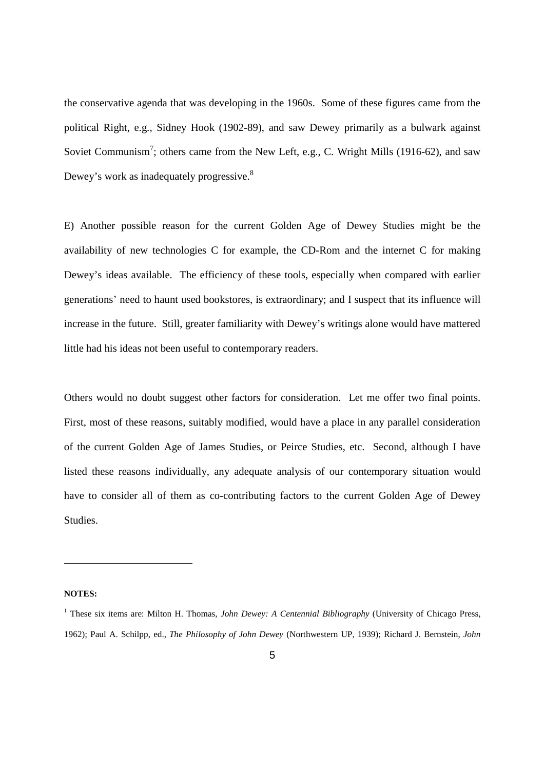the conservative agenda that was developing in the 1960s. Some of these figures came from the political Right, e.g., Sidney Hook (1902-89), and saw Dewey primarily as a bulwark against Soviet Communism<sup>7</sup>; others came from the New Left, e.g., C. Wright Mills (1916-62), and saw Dewey's work as inadequately progressive.<sup>8</sup>

E) Another possible reason for the current Golden Age of Dewey Studies might be the availability of new technologies C for example, the CD-Rom and the internet C for making Dewey's ideas available. The efficiency of these tools, especially when compared with earlier generations' need to haunt used bookstores, is extraordinary; and I suspect that its influence will increase in the future. Still, greater familiarity with Dewey's writings alone would have mattered little had his ideas not been useful to contemporary readers.

Others would no doubt suggest other factors for consideration. Let me offer two final points. First, most of these reasons, suitably modified, would have a place in any parallel consideration of the current Golden Age of James Studies, or Peirce Studies, etc. Second, although I have listed these reasons individually, any adequate analysis of our contemporary situation would have to consider all of them as co-contributing factors to the current Golden Age of Dewey Studies.

## **NOTES:**

1

<sup>&</sup>lt;sup>1</sup> These six items are: Milton H. Thomas, *John Dewey: A Centennial Bibliography* (University of Chicago Press, 1962); Paul A. Schilpp, ed., *The Philosophy of John Dewey* (Northwestern UP, 1939); Richard J. Bernstein, *John*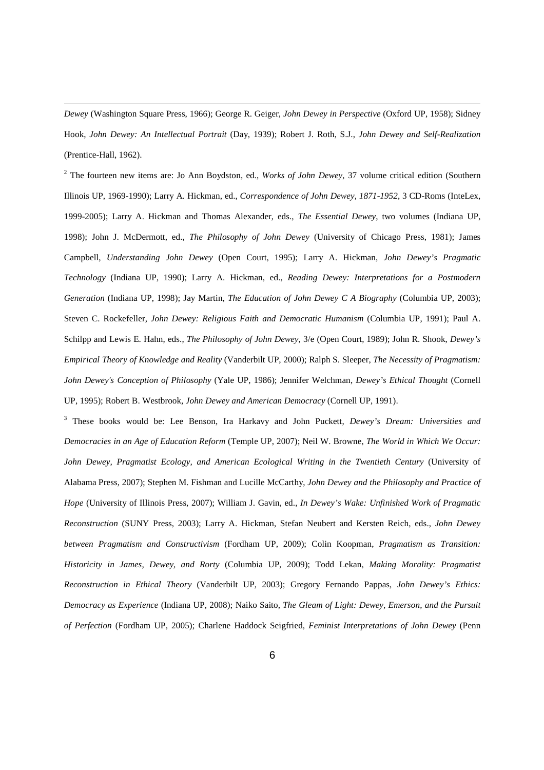*Dewey* (Washington Square Press, 1966); George R. Geiger, *John Dewey in Perspective* (Oxford UP, 1958); Sidney Hook, *John Dewey: An Intellectual Portrait* (Day, 1939); Robert J. Roth, S.J., *John Dewey and Self-Realization*  (Prentice-Hall, 1962).

1

2 The fourteen new items are: Jo Ann Boydston, ed., *Works of John Dewey*, 37 volume critical edition (Southern Illinois UP, 1969-1990); Larry A. Hickman, ed., *Correspondence of John Dewey, 1871-1952*, 3 CD-Roms (InteLex, 1999-2005); Larry A. Hickman and Thomas Alexander, eds., *The Essential Dewey*, two volumes (Indiana UP, 1998); John J. McDermott, ed., *The Philosophy of John Dewey* (University of Chicago Press, 1981); James Campbell, *Understanding John Dewey* (Open Court, 1995); Larry A. Hickman, *John Dewey's Pragmatic Technology* (Indiana UP, 1990); Larry A. Hickman, ed., *Reading Dewey: Interpretations for a Postmodern Generation* (Indiana UP, 1998); Jay Martin, *The Education of John Dewey C A Biography* (Columbia UP, 2003); Steven C. Rockefeller, *John Dewey: Religious Faith and Democratic Humanism* (Columbia UP, 1991); Paul A. Schilpp and Lewis E. Hahn, eds., *The Philosophy of John Dewey*, 3/e (Open Court, 1989); John R. Shook, *Dewey's Empirical Theory of Knowledge and Reality* (Vanderbilt UP, 2000); Ralph S. Sleeper, *The Necessity of Pragmatism: John Dewey's Conception of Philosophy* (Yale UP, 1986); Jennifer Welchman, *Dewey's Ethical Thought* (Cornell UP, 1995); Robert B. Westbrook, *John Dewey and American Democracy* (Cornell UP, 1991).

3 These books would be: Lee Benson, Ira Harkavy and John Puckett, *Dewey's Dream: Universities and Democracies in an Age of Education Reform* (Temple UP, 2007); Neil W. Browne, *The World in Which We Occur: John Dewey, Pragmatist Ecology, and American Ecological Writing in the Twentieth Century* (University of Alabama Press, 2007); Stephen M. Fishman and Lucille McCarthy, *John Dewey and the Philosophy and Practice of Hope* (University of Illinois Press, 2007); William J. Gavin, ed., *In Dewey's Wake: Unfinished Work of Pragmatic Reconstruction* (SUNY Press, 2003); Larry A. Hickman, Stefan Neubert and Kersten Reich, eds., *John Dewey between Pragmatism and Constructivism* (Fordham UP, 2009); Colin Koopman, *Pragmatism as Transition: Historicity in James, Dewey, and Rorty* (Columbia UP, 2009); Todd Lekan, *Making Morality: Pragmatist Reconstruction in Ethical Theory* (Vanderbilt UP, 2003); Gregory Fernando Pappas, *John Dewey's Ethics: Democracy as Experience* (Indiana UP, 2008); Naiko Saito, *The Gleam of Light: Dewey, Emerson, and the Pursuit of Perfection* (Fordham UP, 2005); Charlene Haddock Seigfried, *Feminist Interpretations of John Dewey* (Penn